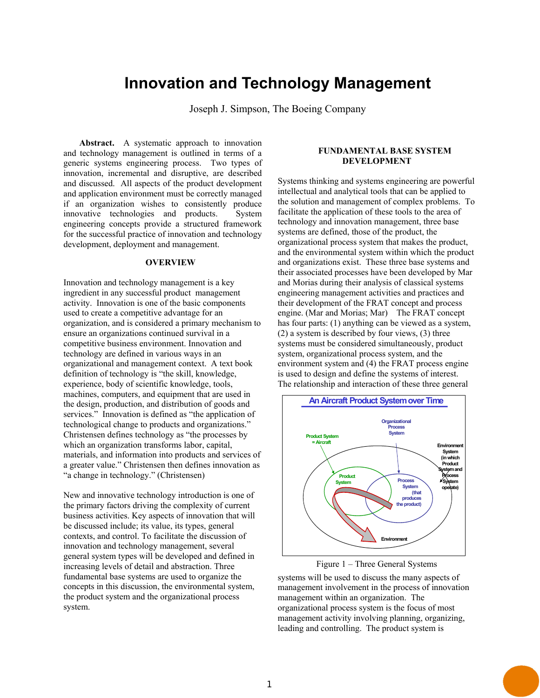# **Innovation and Technology Management**

Joseph J. Simpson, The Boeing Company

**Abstract.** A systematic approach to innovation and technology management is outlined in terms of a generic systems engineering process. Two types of innovation, incremental and disruptive, are described and discussed. All aspects of the product development and application environment must be correctly managed if an organization wishes to consistently produce innovative technologies and products. System engineering concepts provide a structured framework for the successful practice of innovation and technology development, deployment and management.

#### **OVERVIEW**

Innovation and technology management is a key ingredient in any successful product management activity. Innovation is one of the basic components used to create a competitive advantage for an organization, and is considered a primary mechanism to ensure an organizations continued survival in a competitive business environment. Innovation and technology are defined in various ways in an organizational and management context. A text book definition of technology is "the skill, knowledge, experience, body of scientific knowledge, tools, machines, computers, and equipment that are used in the design, production, and distribution of goods and services." Innovation is defined as "the application of technological change to products and organizations." Christensen defines technology as "the processes by" which an organization transforms labor, capital, materials, and information into products and services of a greater value." Christensen then defines innovation as "a change in technology." (Christensen)

New and innovative technology introduction is one of the primary factors driving the complexity of current business activities. Key aspects of innovation that will be discussed include; its value, its types, general contexts, and control. To facilitate the discussion of innovation and technology management, several general system types will be developed and defined in increasing levels of detail and abstraction. Three fundamental base systems are used to organize the concepts in this discussion, the environmental system, the product system and the organizational process system.

#### **FUNDAMENTAL BASE SYSTEM DEVELOPMENT**

Systems thinking and systems engineering are powerful intellectual and analytical tools that can be applied to the solution and management of complex problems. To facilitate the application of these tools to the area of technology and innovation management, three base systems are defined, those of the product, the organizational process system that makes the product, and the environmental system within which the product and organizations exist. These three base systems and their associated processes have been developed by Mar and Morias during their analysis of classical systems engineering management activities and practices and their development of the FRAT concept and process engine. (Mar and Morias; Mar) The FRAT concept has four parts: (1) anything can be viewed as a system, (2) a system is described by four views, (3) three systems must be considered simultaneously, product system, organizational process system, and the environment system and (4) the FRAT process engine is used to design and define the systems of interest. The relationship and interaction of these three general





systems will be used to discuss the many aspects of management involvement in the process of innovation management within an organization. The organizational process system is the focus of most management activity involving planning, organizing, leading and controlling. The product system is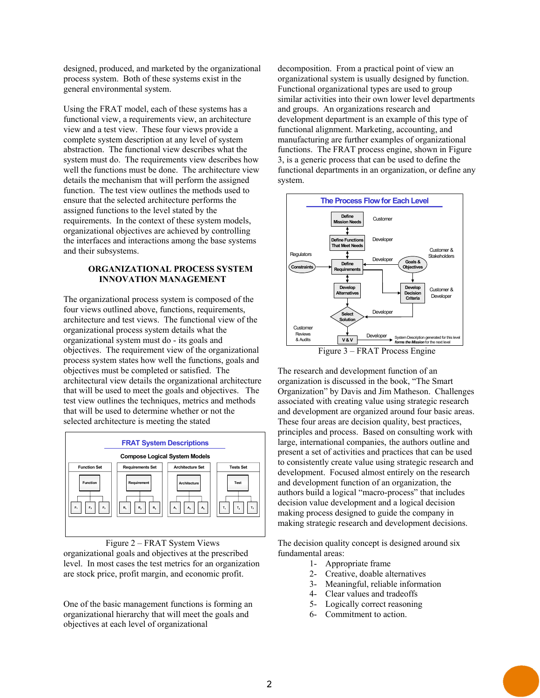designed, produced, and marketed by the organizational process system. Both of these systems exist in the general environmental system.

Using the FRAT model, each of these systems has a functional view, a requirements view, an architecture view and a test view. These four views provide a complete system description at any level of system abstraction. The functional view describes what the system must do. The requirements view describes how well the functions must be done. The architecture view details the mechanism that will perform the assigned function. The test view outlines the methods used to ensure that the selected architecture performs the assigned functions to the level stated by the requirements. In the context of these system models, organizational objectives are achieved by controlling the interfaces and interactions among the base systems and their subsystems.

#### **ORGANIZATIONAL PROCESS SYSTEM INNOVATION MANAGEMENT**

The organizational process system is composed of the four views outlined above, functions, requirements, architecture and test views. The functional view of the organizational process system details what the organizational system must do - its goals and objectives. The requirement view of the organizational process system states how well the functions, goals and objectives must be completed or satisfied. The architectural view details the organizational architecture that will be used to meet the goals and objectives. The test view outlines the techniques, metrics and methods that will be used to determine whether or not the selected architecture is meeting the stated



Figure 2 – FRAT System Views

organizational goals and objectives at the prescribed level. In most cases the test metrics for an organization are stock price, profit margin, and economic profit.

One of the basic management functions is forming an organizational hierarchy that will meet the goals and objectives at each level of organizational

decomposition. From a practical point of view an organizational system is usually designed by function. Functional organizational types are used to group similar activities into their own lower level departments and groups. An organizations research and development department is an example of this type of functional alignment. Marketing, accounting, and manufacturing are further examples of organizational functions. The FRAT process engine, shown in Figure 3, is a generic process that can be used to define the functional departments in an organization, or define any system.



The research and development function of an organization is discussed in the book, "The Smart Organization" by Davis and Jim Matheson. Challenges associated with creating value using strategic research and development are organized around four basic areas. These four areas are decision quality, best practices, principles and process. Based on consulting work with large, international companies, the authors outline and present a set of activities and practices that can be used to consistently create value using strategic research and development. Focused almost entirely on the research and development function of an organization, the authors build a logical "macro-process" that includes decision value development and a logical decision making process designed to guide the company in making strategic research and development decisions.

The decision quality concept is designed around six fundamental areas:

- 1- Appropriate frame
- 2- Creative, doable alternatives
- 3- Meaningful, reliable information
- 4- Clear values and tradeoffs
- 5- Logically correct reasoning
- 6- Commitment to action.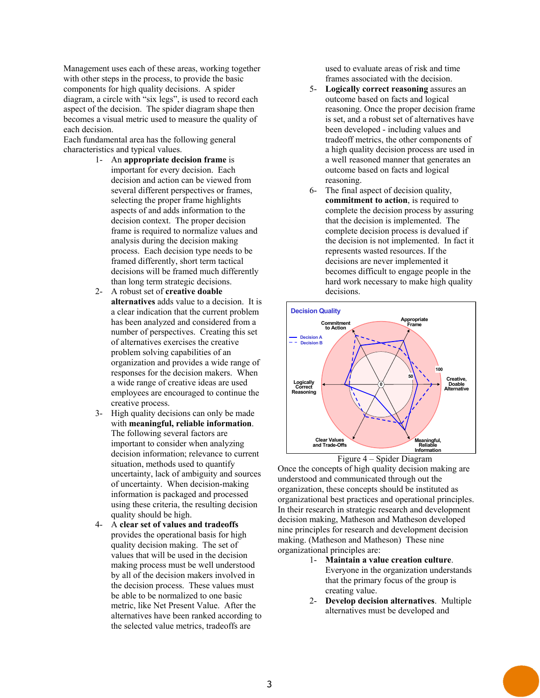Management uses each of these areas, working together with other steps in the process, to provide the basic components for high quality decisions. A spider diagram, a circle with "six legs", is used to record each aspect of the decision. The spider diagram shape then becomes a visual metric used to measure the quality of each decision.

Each fundamental area has the following general characteristics and typical values.

- 1- An **appropriate decision frame** is important for every decision. Each decision and action can be viewed from several different perspectives or frames, selecting the proper frame highlights aspects of and adds information to the decision context. The proper decision frame is required to normalize values and analysis during the decision making process. Each decision type needs to be framed differently, short term tactical decisions will be framed much differently than long term strategic decisions.
- 2- A robust set of **creative doable alternatives** adds value to a decision. It is a clear indication that the current problem has been analyzed and considered from a number of perspectives. Creating this set of alternatives exercises the creative problem solving capabilities of an organization and provides a wide range of responses for the decision makers. When a wide range of creative ideas are used employees are encouraged to continue the creative process.
- 3- High quality decisions can only be made with **meaningful, reliable information**. The following several factors are important to consider when analyzing decision information; relevance to current situation, methods used to quantify uncertainty, lack of ambiguity and sources of uncertainty. When decision-making information is packaged and processed using these criteria, the resulting decision quality should be high.
- 4- A **clear set of values and tradeoffs** provides the operational basis for high quality decision making. The set of values that will be used in the decision making process must be well understood by all of the decision makers involved in the decision process. These values must be able to be normalized to one basic metric, like Net Present Value. After the alternatives have been ranked according to the selected value metrics, tradeoffs are

used to evaluate areas of risk and time frames associated with the decision.

- 5- **Logically correct reasoning** assures an outcome based on facts and logical reasoning. Once the proper decision frame is set, and a robust set of alternatives have been developed - including values and tradeoff metrics, the other components of a high quality decision process are used in a well reasoned manner that generates an outcome based on facts and logical reasoning.
- 6- The final aspect of decision quality, **commitment to action**, is required to complete the decision process by assuring that the decision is implemented. The complete decision process is devalued if the decision is not implemented. In fact it represents wasted resources. If the decisions are never implemented it becomes difficult to engage people in the hard work necessary to make high quality decisions.



Figure 4 – Spider Diagram Once the concepts of high quality decision making are understood and communicated through out the organization, these concepts should be instituted as organizational best practices and operational principles. In their research in strategic research and development decision making, Matheson and Matheson developed nine principles for research and development decision making. (Matheson and Matheson) These nine organizational principles are:

- 1- **Maintain a value creation culture**. Everyone in the organization understands that the primary focus of the group is creating value.
- 2- **Develop decision alternatives**. Multiple alternatives must be developed and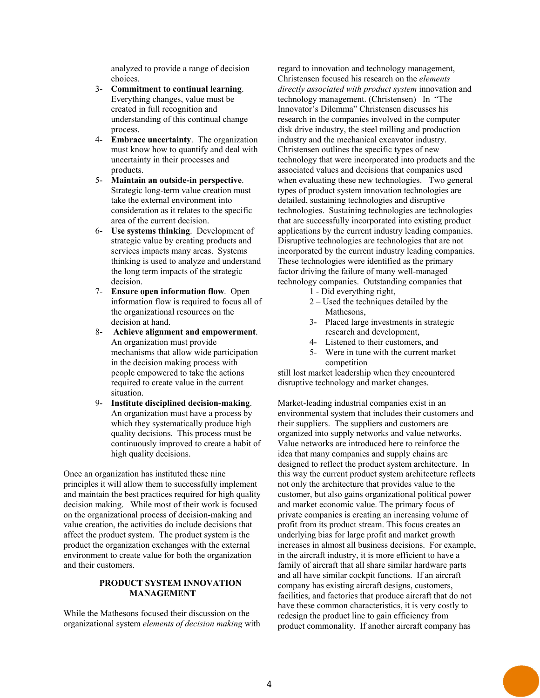analyzed to provide a range of decision choices.

- 3- **Commitment to continual learning**. Everything changes, value must be created in full recognition and understanding of this continual change process.
- 4- **Embrace uncertainty**. The organization must know how to quantify and deal with uncertainty in their processes and products.
- 5- **Maintain an outside-in perspective**. Strategic long-term value creation must take the external environment into consideration as it relates to the specific area of the current decision.
- 6- **Use systems thinking**. Development of strategic value by creating products and services impacts many areas. Systems thinking is used to analyze and understand the long term impacts of the strategic decision.
- 7- **Ensure open information flow**. Open information flow is required to focus all of the organizational resources on the decision at hand.
- 8- **Achieve alignment and empowerment**. An organization must provide mechanisms that allow wide participation in the decision making process with people empowered to take the actions required to create value in the current situation.
- 9- **Institute disciplined decision-making**. An organization must have a process by which they systematically produce high quality decisions. This process must be continuously improved to create a habit of high quality decisions.

Once an organization has instituted these nine principles it will allow them to successfully implement and maintain the best practices required for high quality decision making. While most of their work is focused on the organizational process of decision-making and value creation, the activities do include decisions that affect the product system. The product system is the product the organization exchanges with the external environment to create value for both the organization and their customers.

## **PRODUCT SYSTEM INNOVATION MANAGEMENT**

While the Mathesons focused their discussion on the organizational system *elements of decision making* with regard to innovation and technology management, Christensen focused his research on the *elements directly associated with product system* innovation and technology management. (Christensen) In "The Innovator's Dilemma" Christensen discusses his research in the companies involved in the computer disk drive industry, the steel milling and production industry and the mechanical excavator industry. Christensen outlines the specific types of new technology that were incorporated into products and the associated values and decisions that companies used when evaluating these new technologies. Two general types of product system innovation technologies are detailed, sustaining technologies and disruptive technologies. Sustaining technologies are technologies that are successfully incorporated into existing product applications by the current industry leading companies. Disruptive technologies are technologies that are not incorporated by the current industry leading companies. These technologies were identified as the primary factor driving the failure of many well-managed technology companies. Outstanding companies that

- 1 Did everything right,
- $2 -$  Used the techniques detailed by the Mathesons,
- 3- Placed large investments in strategic research and development,
- 4- Listened to their customers, and
- 5- Were in tune with the current market competition

still lost market leadership when they encountered disruptive technology and market changes.

Market-leading industrial companies exist in an environmental system that includes their customers and their suppliers. The suppliers and customers are organized into supply networks and value networks. Value networks are introduced here to reinforce the idea that many companies and supply chains are designed to reflect the product system architecture. In this way the current product system architecture reflects not only the architecture that provides value to the customer, but also gains organizational political power and market economic value. The primary focus of private companies is creating an increasing volume of profit from its product stream. This focus creates an underlying bias for large profit and market growth increases in almost all business decisions. For example, in the aircraft industry, it is more efficient to have a family of aircraft that all share similar hardware parts and all have similar cockpit functions. If an aircraft company has existing aircraft designs, customers, facilities, and factories that produce aircraft that do not have these common characteristics, it is very costly to redesign the product line to gain efficiency from product commonality. If another aircraft company has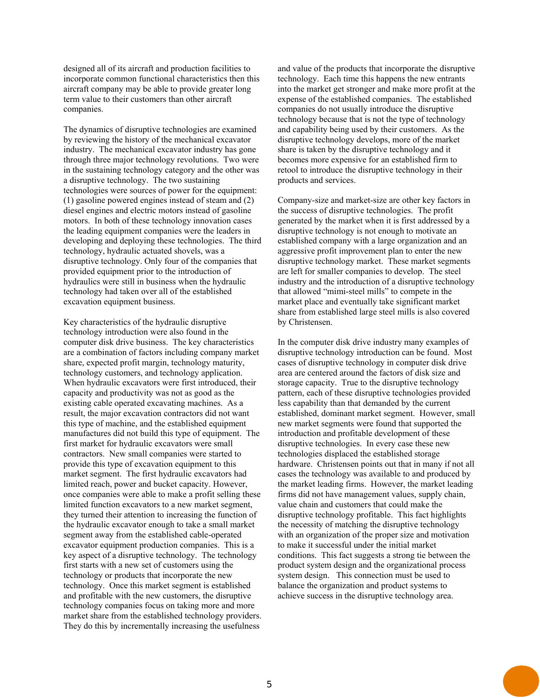designed all of its aircraft and production facilities to incorporate common functional characteristics then this aircraft company may be able to provide greater long term value to their customers than other aircraft companies.

The dynamics of disruptive technologies are examined by reviewing the history of the mechanical excavator industry. The mechanical excavator industry has gone through three major technology revolutions. Two were in the sustaining technology category and the other was a disruptive technology. The two sustaining technologies were sources of power for the equipment: (1) gasoline powered engines instead of steam and (2) diesel engines and electric motors instead of gasoline motors. In both of these technology innovation cases the leading equipment companies were the leaders in developing and deploying these technologies. The third technology, hydraulic actuated shovels, was a disruptive technology. Only four of the companies that provided equipment prior to the introduction of hydraulics were still in business when the hydraulic technology had taken over all of the established excavation equipment business.

Key characteristics of the hydraulic disruptive technology introduction were also found in the computer disk drive business. The key characteristics are a combination of factors including company market share, expected profit margin, technology maturity, technology customers, and technology application. When hydraulic excavators were first introduced, their capacity and productivity was not as good as the existing cable operated excavating machines. As a result, the major excavation contractors did not want this type of machine, and the established equipment manufactures did not build this type of equipment. The first market for hydraulic excavators were small contractors. New small companies were started to provide this type of excavation equipment to this market segment. The first hydraulic excavators had limited reach, power and bucket capacity. However, once companies were able to make a profit selling these limited function excavators to a new market segment, they turned their attention to increasing the function of the hydraulic excavator enough to take a small market segment away from the established cable-operated excavator equipment production companies. This is a key aspect of a disruptive technology. The technology first starts with a new set of customers using the technology or products that incorporate the new technology. Once this market segment is established and profitable with the new customers, the disruptive technology companies focus on taking more and more market share from the established technology providers. They do this by incrementally increasing the usefulness

and value of the products that incorporate the disruptive technology. Each time this happens the new entrants into the market get stronger and make more profit at the expense of the established companies. The established companies do not usually introduce the disruptive technology because that is not the type of technology and capability being used by their customers. As the disruptive technology develops, more of the market share is taken by the disruptive technology and it becomes more expensive for an established firm to retool to introduce the disruptive technology in their products and services.

Company-size and market-size are other key factors in the success of disruptive technologies. The profit generated by the market when it is first addressed by a disruptive technology is not enough to motivate an established company with a large organization and an aggressive profit improvement plan to enter the new disruptive technology market. These market segments are left for smaller companies to develop. The steel industry and the introduction of a disruptive technology that allowed "mimi-steel mills" to compete in the market place and eventually take significant market share from established large steel mills is also covered by Christensen.

In the computer disk drive industry many examples of disruptive technology introduction can be found. Most cases of disruptive technology in computer disk drive area are centered around the factors of disk size and storage capacity. True to the disruptive technology pattern, each of these disruptive technologies provided less capability than that demanded by the current established, dominant market segment. However, small new market segments were found that supported the introduction and profitable development of these disruptive technologies. In every case these new technologies displaced the established storage hardware. Christensen points out that in many if not all cases the technology was available to and produced by the market leading firms. However, the market leading firms did not have management values, supply chain, value chain and customers that could make the disruptive technology profitable. This fact highlights the necessity of matching the disruptive technology with an organization of the proper size and motivation to make it successful under the initial market conditions. This fact suggests a strong tie between the product system design and the organizational process system design. This connection must be used to balance the organization and product systems to achieve success in the disruptive technology area.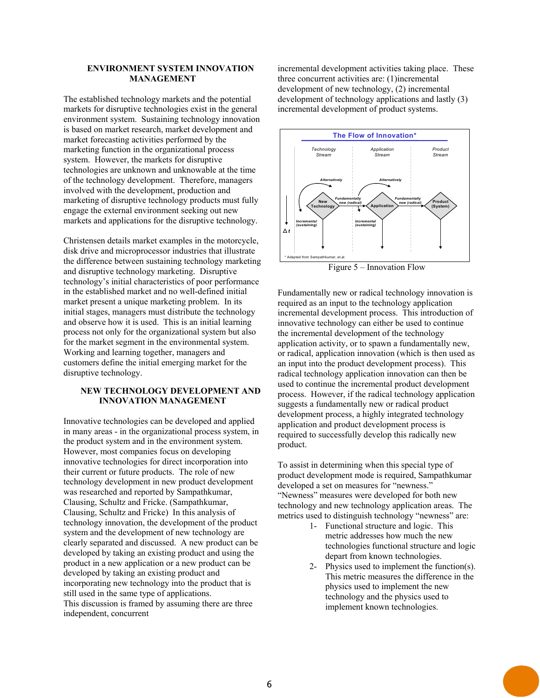## **ENVIRONMENT SYSTEM INNOVATION MANAGEMENT**

The established technology markets and the potential markets for disruptive technologies exist in the general environment system. Sustaining technology innovation is based on market research, market development and market forecasting activities performed by the marketing function in the organizational process system. However, the markets for disruptive technologies are unknown and unknowable at the time of the technology development. Therefore, managers involved with the development, production and marketing of disruptive technology products must fully engage the external environment seeking out new markets and applications for the disruptive technology.

Christensen details market examples in the motorcycle, disk drive and microprocessor industries that illustrate the difference between sustaining technology marketing and disruptive technology marketing. Disruptive technology's initial characteristics of poor performance in the established market and no well-defined initial market present a unique marketing problem. In its initial stages, managers must distribute the technology and observe how it is used. This is an initial learning process not only for the organizational system but also for the market segment in the environmental system. Working and learning together, managers and customers define the initial emerging market for the disruptive technology.

### **NEW TECHNOLOGY DEVELOPMENT AND INNOVATION MANAGEMENT**

Innovative technologies can be developed and applied in many areas - in the organizational process system, in the product system and in the environment system. However, most companies focus on developing innovative technologies for direct incorporation into their current or future products. The role of new technology development in new product development was researched and reported by Sampathkumar, Clausing, Schultz and Fricke. (Sampathkumar, Clausing, Schultz and Fricke) In this analysis of technology innovation, the development of the product system and the development of new technology are clearly separated and discussed. A new product can be developed by taking an existing product and using the product in a new application or a new product can be developed by taking an existing product and incorporating new technology into the product that is still used in the same type of applications. This discussion is framed by assuming there are three independent, concurrent

incremental development activities taking place. These three concurrent activities are: (1)incremental development of new technology, (2) incremental development of technology applications and lastly (3) incremental development of product systems.



Figure  $5$  – Innovation Flow

Fundamentally new or radical technology innovation is required as an input to the technology application incremental development process. This introduction of innovative technology can either be used to continue the incremental development of the technology application activity, or to spawn a fundamentally new, or radical, application innovation (which is then used as an input into the product development process). This radical technology application innovation can then be used to continue the incremental product development process. However, if the radical technology application suggests a fundamentally new or radical product development process, a highly integrated technology application and product development process is required to successfully develop this radically new product.

To assist in determining when this special type of product development mode is required, Sampathkumar developed a set on measures for "newness." "Newness" measures were developed for both new technology and new technology application areas. The metrics used to distinguish technology "newness" are:

- 1- Functional structure and logic. This metric addresses how much the new technologies functional structure and logic depart from known technologies.
- 2- Physics used to implement the function(s). This metric measures the difference in the physics used to implement the new technology and the physics used to implement known technologies.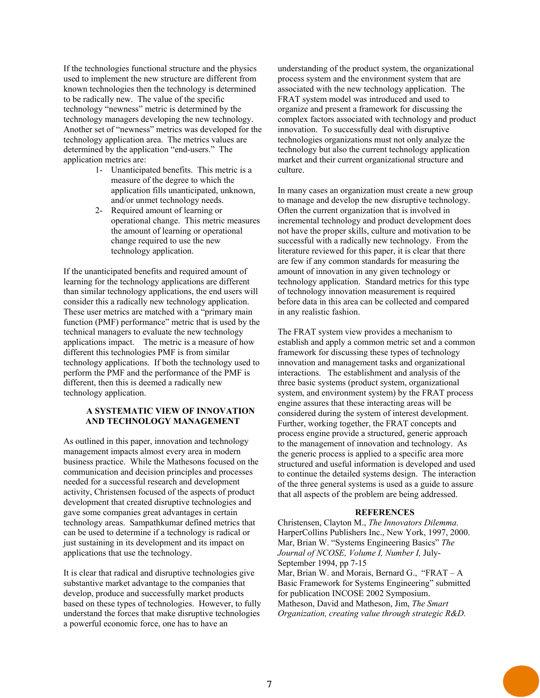If the technologies functional structure and the physics used to implement the new structure are different from known technologies then the technology is determined to be radically new. The value of the specific technology "newness" metric is determined by the technology managers developing the new technology. Another set of "newness" metrics was developed for the technology application area. The metrics values are determined by the application "end-users." The application metrics are:

- 1- Unanticipated benefits. This metric is a measure of the degree to which the application fills unanticipated, unknown, and/or unmet technology needs.
- 2- Required amount of learning or operational change. This metric measures the amount of learning or operational change required to use the new technology application.

If the unanticipated benefits and required amount of learning for the technology applications are different than similar technology applications, the end users will consider this a radically new technology application. These user metrics are matched with a "primary main" function (PMF) performance" metric that is used by the technical managers to evaluate the new technology applications impact. The metric is a measure of how different this technologies PMF is from similar technology applications. If both the technology used to perform the PMF and the performance of the PMF is different, then this is deemed a radically new technology application.

# **A SYSTEMATIC VIEW OF INNOVATION AND TECHNOLOGY MANAGEMENT**

As outlined in this paper, innovation and technology management impacts almost every area in modern business practice. While the Mathesons focused on the communication and decision principles and processes needed for a successful research and development activity, Christensen focused of the aspects of product development that created disruptive technologies and gave some companies great advantages in certain technology areas. Sampathkumar defined metrics that can be used to determine if a technology is radical or just sustaining in its development and its impact on applications that use the technology.

It is clear that radical and disruptive technologies give substantive market advantage to the companies that develop, produce and successfully market products based on these types of technologies. However, to fully understand the forces that make disruptive technologies a powerful economic force, one has to have an

understanding of the product system, the organizational process system and the environment system that are associated with the new technology application. The FRAT system model was introduced and used to organize and present a framework for discussing the complex factors associated with technology and product innovation. To successfully deal with disruptive technologies organizations must not only analyze the technology but also the current technology application market and their current organizational structure and culture.

In many cases an organization must create a new group to manage and develop the new disruptive technology. Often the current organization that is involved in incremental technology and product development does not have the proper skills, culture and motivation to be successful with a radically new technology. From the literature reviewed for this paper, it is clear that there are few if any common standards for measuring the amount of innovation in any given technology or technology application. Standard metrics for this type of technology innovation measurement is required before data in this area can be collected and compared in any realistic fashion.

The FRAT system view provides a mechanism to establish and apply a common metric set and a common framework for discussing these types of technology innovation and management tasks and organizational interactions. The establishment and analysis of the three basic systems (product system, organizational system, and environment system) by the FRAT process engine assures that these interacting areas will be considered during the system of interest development. Further, working together, the FRAT concepts and process engine provide a structured, generic approach to the management of innovation and technology. As the generic process is applied to a specific area more structured and useful information is developed and used to continue the detailed systems design. The interaction of the three general systems is used as a guide to assure that all aspects of the problem are being addressed.

#### **REFERENCES**

Christensen, Clayton M., *The Innovators Dilemma.*  HarperCollins Publishers Inc., New York, 1997, 2000. Mar, Brian W. "Systems Engineering Basics" The *Journal of NCOSE, Volume I, Number I,* July-September 1994, pp 7-15 Mar, Brian W. and Morais, Bernard G., "FRAT  $-A$ Basic Framework for Systems Engineering" submitted for publication INCOSE 2002 Symposium. Matheson, David and Matheson, Jim, *The Smart Organization, creating value through strategic R&D.*